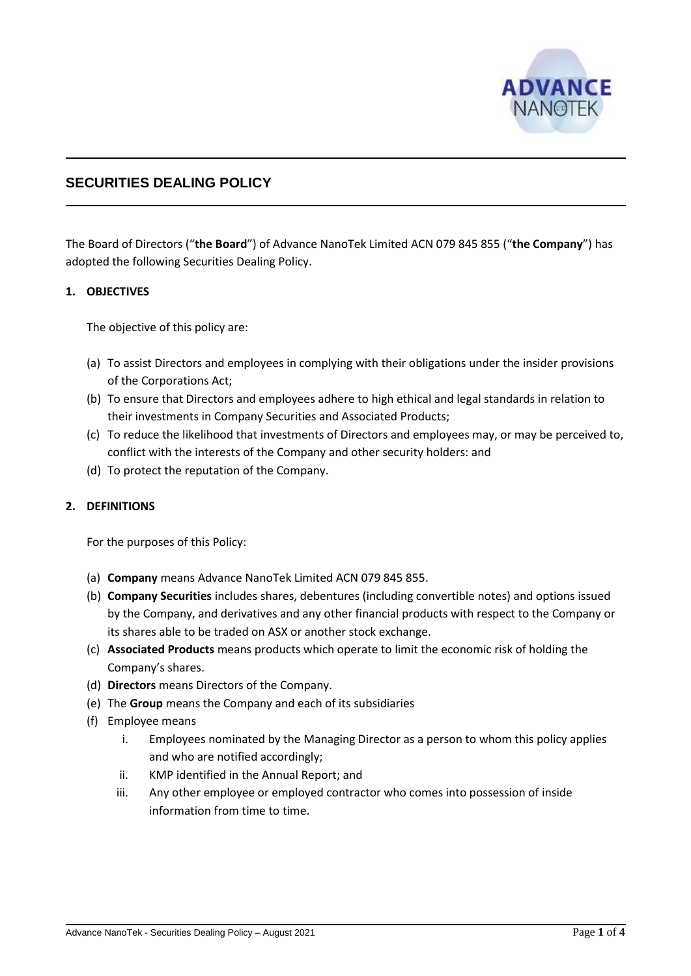

# **SECURITIES DEALING POLICY**

The Board of Directors ("**the Board**") of Advance NanoTek Limited ACN 079 845 855 ("**the Company**") has adopted the following Securities Dealing Policy.

# **1. OBJECTIVES**

The objective of this policy are:

- (a) To assist Directors and employees in complying with their obligations under the insider provisions of the Corporations Act;
- (b) To ensure that Directors and employees adhere to high ethical and legal standards in relation to their investments in Company Securities and Associated Products;
- (c) To reduce the likelihood that investments of Directors and employees may, or may be perceived to, conflict with the interests of the Company and other security holders: and
- (d) To protect the reputation of the Company.

# **2. DEFINITIONS**

For the purposes of this Policy:

- (a) **Company** means Advance NanoTek Limited ACN 079 845 855.
- (b) **Company Securities** includes shares, debentures (including convertible notes) and options issued by the Company, and derivatives and any other financial products with respect to the Company or its shares able to be traded on ASX or another stock exchange.
- (c) **Associated Products** means products which operate to limit the economic risk of holding the Company's shares.
- (d) **Directors** means Directors of the Company.
- (e) The **Group** means the Company and each of its subsidiaries
- (f) Employee means
	- i. Employees nominated by the Managing Director as a person to whom this policy applies and who are notified accordingly;
	- ii. KMP identified in the Annual Report; and
	- iii. Any other employee or employed contractor who comes into possession of inside information from time to time.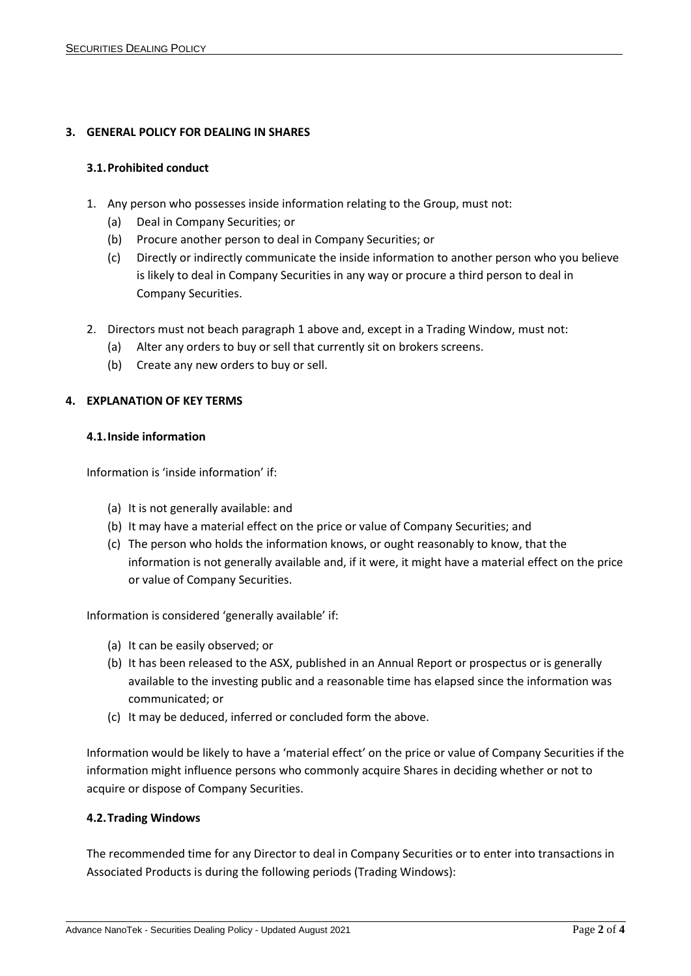# **3. GENERAL POLICY FOR DEALING IN SHARES**

## **3.1.Prohibited conduct**

- 1. Any person who possesses inside information relating to the Group, must not:
	- (a) Deal in Company Securities; or
	- (b) Procure another person to deal in Company Securities; or
	- (c) Directly or indirectly communicate the inside information to another person who you believe is likely to deal in Company Securities in any way or procure a third person to deal in Company Securities.
- 2. Directors must not beach paragraph 1 above and, except in a Trading Window, must not:
	- (a) Alter any orders to buy or sell that currently sit on brokers screens.
	- (b) Create any new orders to buy or sell.

# **4. EXPLANATION OF KEY TERMS**

## **4.1.Inside information**

Information is 'inside information' if:

- (a) It is not generally available: and
- (b) It may have a material effect on the price or value of Company Securities; and
- (c) The person who holds the information knows, or ought reasonably to know, that the information is not generally available and, if it were, it might have a material effect on the price or value of Company Securities.

Information is considered 'generally available' if:

- (a) It can be easily observed; or
- (b) It has been released to the ASX, published in an Annual Report or prospectus or is generally available to the investing public and a reasonable time has elapsed since the information was communicated; or
- (c) It may be deduced, inferred or concluded form the above.

Information would be likely to have a 'material effect' on the price or value of Company Securities if the information might influence persons who commonly acquire Shares in deciding whether or not to acquire or dispose of Company Securities.

#### **4.2.Trading Windows**

The recommended time for any Director to deal in Company Securities or to enter into transactions in Associated Products is during the following periods (Trading Windows):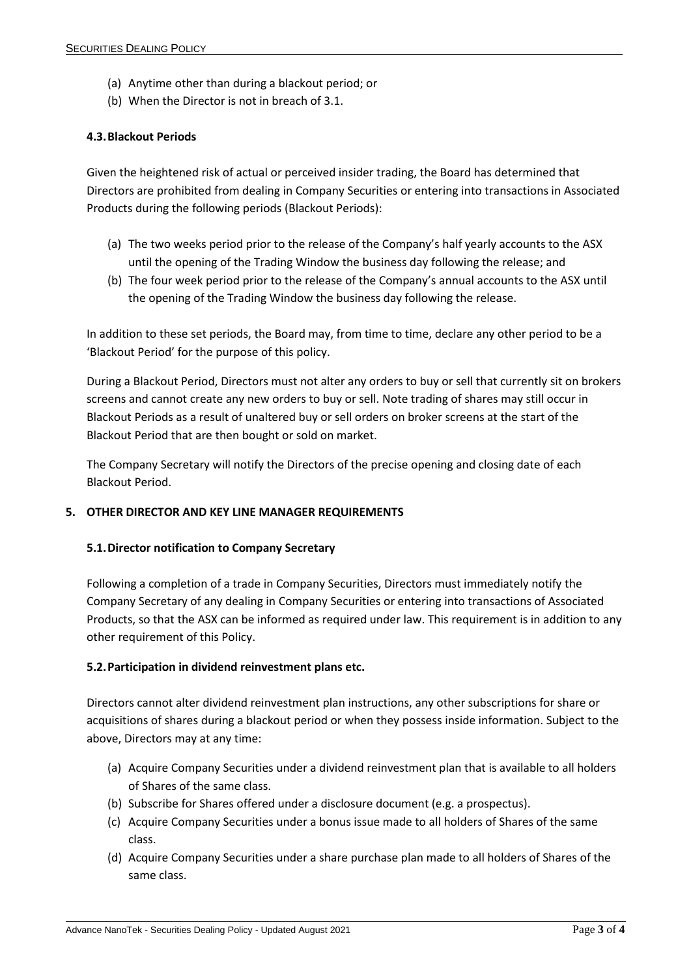- (a) Anytime other than during a blackout period; or
- (b) When the Director is not in breach of 3.1.

## **4.3.Blackout Periods**

Given the heightened risk of actual or perceived insider trading, the Board has determined that Directors are prohibited from dealing in Company Securities or entering into transactions in Associated Products during the following periods (Blackout Periods):

- (a) The two weeks period prior to the release of the Company's half yearly accounts to the ASX until the opening of the Trading Window the business day following the release; and
- (b) The four week period prior to the release of the Company's annual accounts to the ASX until the opening of the Trading Window the business day following the release.

In addition to these set periods, the Board may, from time to time, declare any other period to be a 'Blackout Period' for the purpose of this policy.

During a Blackout Period, Directors must not alter any orders to buy or sell that currently sit on brokers screens and cannot create any new orders to buy or sell. Note trading of shares may still occur in Blackout Periods as a result of unaltered buy or sell orders on broker screens at the start of the Blackout Period that are then bought or sold on market.

The Company Secretary will notify the Directors of the precise opening and closing date of each Blackout Period.

## **5. OTHER DIRECTOR AND KEY LINE MANAGER REQUIREMENTS**

#### **5.1.Director notification to Company Secretary**

Following a completion of a trade in Company Securities, Directors must immediately notify the Company Secretary of any dealing in Company Securities or entering into transactions of Associated Products, so that the ASX can be informed as required under law. This requirement is in addition to any other requirement of this Policy.

#### **5.2.Participation in dividend reinvestment plans etc.**

Directors cannot alter dividend reinvestment plan instructions, any other subscriptions for share or acquisitions of shares during a blackout period or when they possess inside information. Subject to the above, Directors may at any time:

- (a) Acquire Company Securities under a dividend reinvestment plan that is available to all holders of Shares of the same class.
- (b) Subscribe for Shares offered under a disclosure document (e.g. a prospectus).
- (c) Acquire Company Securities under a bonus issue made to all holders of Shares of the same class.
- (d) Acquire Company Securities under a share purchase plan made to all holders of Shares of the same class.